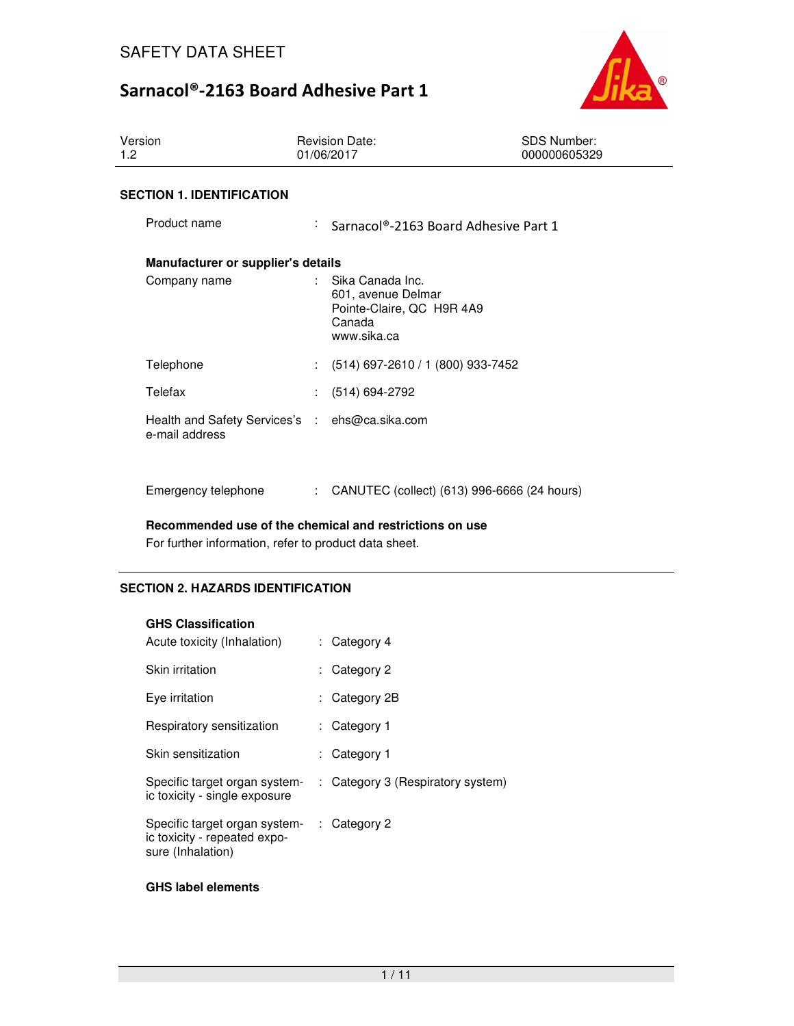

| Version<br>1.2                                                   | <b>Revision Date:</b><br>01/06/2017 | <b>SDS Number:</b><br>000000605329                                                           |  |
|------------------------------------------------------------------|-------------------------------------|----------------------------------------------------------------------------------------------|--|
| <b>SECTION 1. IDENTIFICATION</b>                                 |                                     |                                                                                              |  |
| Product name                                                     | t.                                  | Sarnacol®-2163 Board Adhesive Part 1                                                         |  |
| Manufacturer or supplier's details                               |                                     |                                                                                              |  |
| Company name                                                     |                                     | Sika Canada Inc.<br>601, avenue Delmar<br>Pointe-Claire, QC H9R 4A9<br>Canada<br>www.sika.ca |  |
| Telephone                                                        |                                     | $(514)$ 697-2610 / 1 (800) 933-7452                                                          |  |
| Telefax                                                          |                                     | $(514) 694 - 2792$                                                                           |  |
| Health and Safety Services's : ehs@ca.sika.com<br>e-mail address |                                     |                                                                                              |  |
| Emergency telephone                                              | t.                                  | CANUTEC (collect) (613) 996-6666 (24 hours)                                                  |  |

**Recommended use of the chemical and restrictions on use** 

For further information, refer to product data sheet.

## **SECTION 2. HAZARDS IDENTIFICATION**

### **GHS Classification**

| Acute toxicity (Inhalation)                                                        | : Category 4                      |
|------------------------------------------------------------------------------------|-----------------------------------|
| Skin irritation                                                                    | : Category 2                      |
| Eye irritation                                                                     | : Category 2B                     |
| Respiratory sensitization                                                          | : Category 1                      |
| Skin sensitization                                                                 | : Category 1                      |
| Specific target organ system-<br>ic toxicity - single exposure                     | : Category 3 (Respiratory system) |
| Specific target organ system-<br>ic toxicity - repeated expo-<br>sure (Inhalation) | $\therefore$ Category 2           |

### **GHS label elements**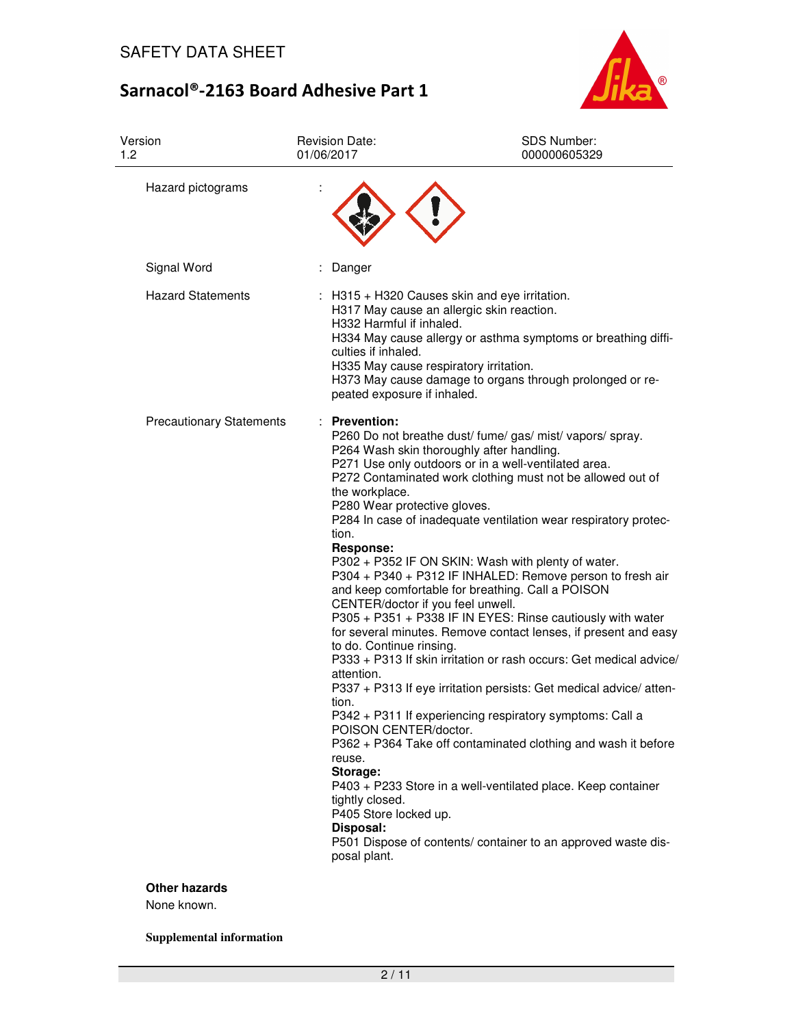

| Version<br>1.2                  | <b>Revision Date:</b><br>01/06/2017                                                                                                                                                                                                                                                                          | <b>SDS Number:</b><br>000000605329                                                                                                                                                                                                                                                                                                                                                                                                                                                                                                                                                                                                                                                                                                                                                                                                                                                                                                                                                                                 |
|---------------------------------|--------------------------------------------------------------------------------------------------------------------------------------------------------------------------------------------------------------------------------------------------------------------------------------------------------------|--------------------------------------------------------------------------------------------------------------------------------------------------------------------------------------------------------------------------------------------------------------------------------------------------------------------------------------------------------------------------------------------------------------------------------------------------------------------------------------------------------------------------------------------------------------------------------------------------------------------------------------------------------------------------------------------------------------------------------------------------------------------------------------------------------------------------------------------------------------------------------------------------------------------------------------------------------------------------------------------------------------------|
| Hazard pictograms               |                                                                                                                                                                                                                                                                                                              |                                                                                                                                                                                                                                                                                                                                                                                                                                                                                                                                                                                                                                                                                                                                                                                                                                                                                                                                                                                                                    |
| Signal Word                     | Danger                                                                                                                                                                                                                                                                                                       |                                                                                                                                                                                                                                                                                                                                                                                                                                                                                                                                                                                                                                                                                                                                                                                                                                                                                                                                                                                                                    |
| <b>Hazard Statements</b>        | H332 Harmful if inhaled.<br>culties if inhaled.<br>peated exposure if inhaled.                                                                                                                                                                                                                               | $\therefore$ H315 + H320 Causes skin and eye irritation.<br>H317 May cause an allergic skin reaction.<br>H334 May cause allergy or asthma symptoms or breathing diffi-<br>H335 May cause respiratory irritation.<br>H373 May cause damage to organs through prolonged or re-                                                                                                                                                                                                                                                                                                                                                                                                                                                                                                                                                                                                                                                                                                                                       |
| <b>Precautionary Statements</b> | : Prevention:<br>the workplace.<br>P280 Wear protective gloves.<br>tion.<br><b>Response:</b><br>CENTER/doctor if you feel unwell.<br>to do. Continue rinsing.<br>attention.<br>tion.<br>POISON CENTER/doctor.<br>reuse.<br>Storage:<br>tightly closed.<br>P405 Store locked up.<br>Disposal:<br>posal plant. | P260 Do not breathe dust/ fume/ gas/ mist/ vapors/ spray.<br>P264 Wash skin thoroughly after handling.<br>P271 Use only outdoors or in a well-ventilated area.<br>P272 Contaminated work clothing must not be allowed out of<br>P284 In case of inadequate ventilation wear respiratory protec-<br>P302 + P352 IF ON SKIN: Wash with plenty of water.<br>P304 + P340 + P312 IF INHALED: Remove person to fresh air<br>and keep comfortable for breathing. Call a POISON<br>P305 + P351 + P338 IF IN EYES: Rinse cautiously with water<br>for several minutes. Remove contact lenses, if present and easy<br>P333 + P313 If skin irritation or rash occurs: Get medical advice/<br>P337 + P313 If eye irritation persists: Get medical advice/ atten-<br>P342 + P311 If experiencing respiratory symptoms: Call a<br>P362 + P364 Take off contaminated clothing and wash it before<br>P403 + P233 Store in a well-ventilated place. Keep container<br>P501 Dispose of contents/ container to an approved waste dis- |

### **Other hazards**

None known.

**Supplemental information**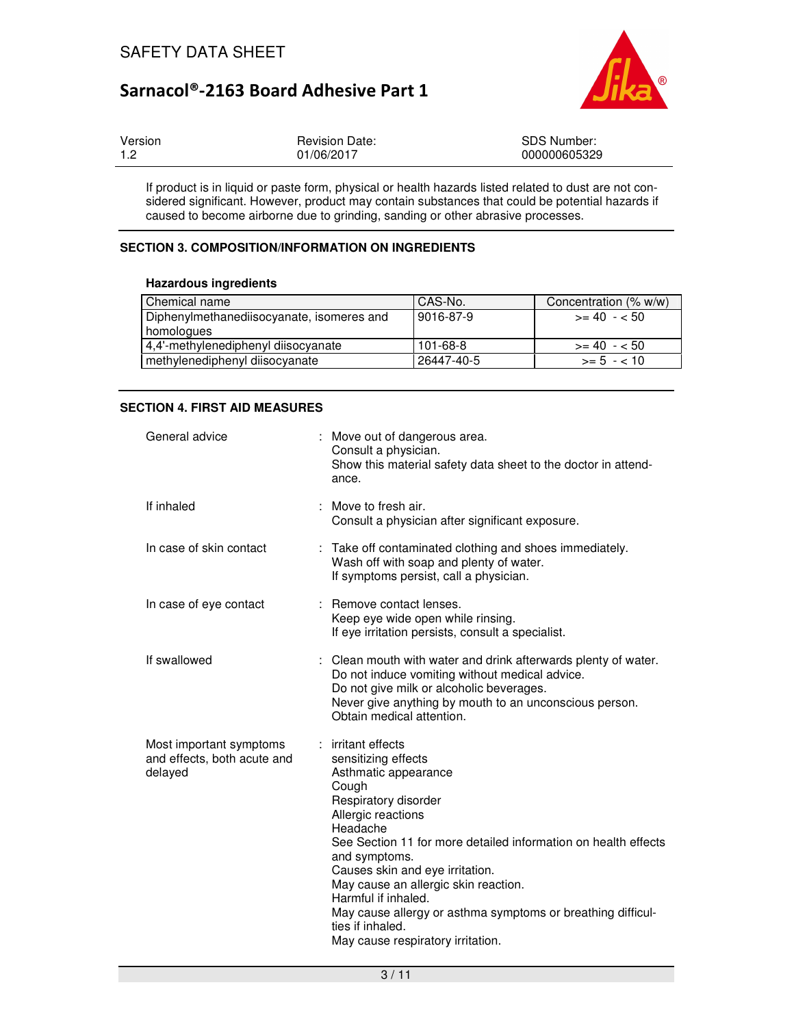

| Version | <b>Revision Date:</b> | SDS Number:  |
|---------|-----------------------|--------------|
| 1.2     | 01/06/2017            | 000000605329 |

If product is in liquid or paste form, physical or health hazards listed related to dust are not considered significant. However, product may contain substances that could be potential hazards if caused to become airborne due to grinding, sanding or other abrasive processes.

## **SECTION 3. COMPOSITION/INFORMATION ON INGREDIENTS**

### **Hazardous ingredients**

| Chemical name                             | CAS-No.        | Concentration (% w/w) |
|-------------------------------------------|----------------|-----------------------|
| Diphenylmethanediisocyanate, isomeres and | 9016-87-9      | $>= 40 - 50$          |
| homologues                                |                |                       |
| 4.4'-methylenediphenyl diisocyanate       | $101 - 68 - 8$ | $>= 40 - 50$          |
| methylenediphenyl diisocyanate            | 26447-40-5     | $>= 5 - < 10$         |

## **SECTION 4. FIRST AID MEASURES**

| General advice                                                    | : Move out of dangerous area.<br>Consult a physician.<br>Show this material safety data sheet to the doctor in attend-<br>ance.                                                                                                                                                                                                                                                                                                                   |
|-------------------------------------------------------------------|---------------------------------------------------------------------------------------------------------------------------------------------------------------------------------------------------------------------------------------------------------------------------------------------------------------------------------------------------------------------------------------------------------------------------------------------------|
| If inhaled                                                        | : Move to fresh air.<br>Consult a physician after significant exposure.                                                                                                                                                                                                                                                                                                                                                                           |
| In case of skin contact                                           | : Take off contaminated clothing and shoes immediately.<br>Wash off with soap and plenty of water.<br>If symptoms persist, call a physician.                                                                                                                                                                                                                                                                                                      |
| In case of eye contact                                            | : Remove contact lenses.<br>Keep eye wide open while rinsing.<br>If eye irritation persists, consult a specialist.                                                                                                                                                                                                                                                                                                                                |
| If swallowed                                                      | : Clean mouth with water and drink afterwards plenty of water.<br>Do not induce vomiting without medical advice.<br>Do not give milk or alcoholic beverages.<br>Never give anything by mouth to an unconscious person.<br>Obtain medical attention.                                                                                                                                                                                               |
| Most important symptoms<br>and effects, both acute and<br>delayed | : irritant effects<br>sensitizing effects<br>Asthmatic appearance<br>Cough<br>Respiratory disorder<br>Allergic reactions<br>Headache<br>See Section 11 for more detailed information on health effects<br>and symptoms.<br>Causes skin and eye irritation.<br>May cause an allergic skin reaction.<br>Harmful if inhaled.<br>May cause allergy or asthma symptoms or breathing difficul-<br>ties if inhaled.<br>May cause respiratory irritation. |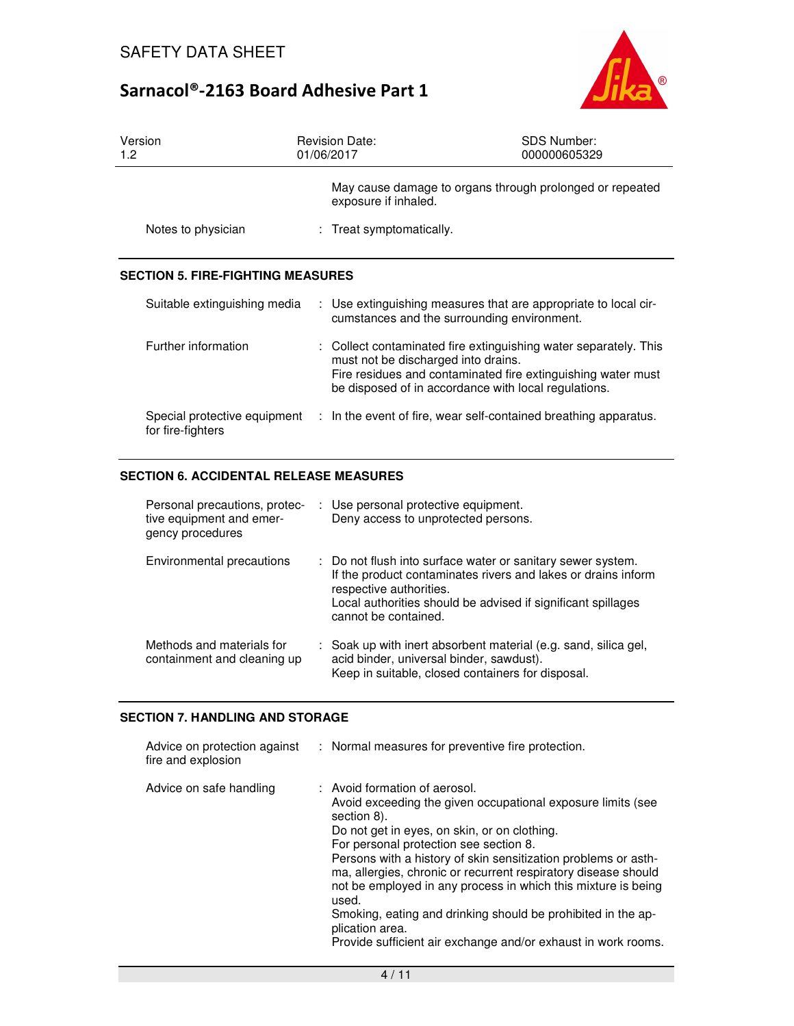

| Version<br>1.2                                    | <b>Revision Date:</b><br>01/06/2017 | <b>SDS Number:</b><br>000000605329                                                                                                                                                       |
|---------------------------------------------------|-------------------------------------|------------------------------------------------------------------------------------------------------------------------------------------------------------------------------------------|
|                                                   | exposure if inhaled.                | May cause damage to organs through prolonged or repeated                                                                                                                                 |
| Notes to physician                                | : Treat symptomatically.            |                                                                                                                                                                                          |
| <b>SECTION 5. FIRE-FIGHTING MEASURES</b>          |                                     |                                                                                                                                                                                          |
| Suitable extinguishing media                      |                                     | : Use extinguishing measures that are appropriate to local cir-<br>cumstances and the surrounding environment.                                                                           |
| Further information                               | must not be discharged into drains. | : Collect contaminated fire extinguishing water separately. This<br>Fire residues and contaminated fire extinguishing water must<br>be disposed of in accordance with local regulations. |
| Special protective equipment<br>for fire-fighters |                                     | : In the event of fire, wear self-contained breathing apparatus.                                                                                                                         |

### **SECTION 6. ACCIDENTAL RELEASE MEASURES**

| Personal precautions, protec-<br>tive equipment and emer-<br>gency procedures | : Use personal protective equipment.<br>Deny access to unprotected persons.                                                                                                                                                                     |
|-------------------------------------------------------------------------------|-------------------------------------------------------------------------------------------------------------------------------------------------------------------------------------------------------------------------------------------------|
| Environmental precautions                                                     | : Do not flush into surface water or sanitary sewer system.<br>If the product contaminates rivers and lakes or drains inform<br>respective authorities.<br>Local authorities should be advised if significant spillages<br>cannot be contained. |
| Methods and materials for<br>containment and cleaning up                      | : Soak up with inert absorbent material (e.g. sand, silica gel,<br>acid binder, universal binder, sawdust).<br>Keep in suitable, closed containers for disposal.                                                                                |

## **SECTION 7. HANDLING AND STORAGE**

| Advice on protection against<br>fire and explosion | : Normal measures for preventive fire protection.                                                                                                                                                                                                                                                                                                                                                                                                                                                                                                                       |
|----------------------------------------------------|-------------------------------------------------------------------------------------------------------------------------------------------------------------------------------------------------------------------------------------------------------------------------------------------------------------------------------------------------------------------------------------------------------------------------------------------------------------------------------------------------------------------------------------------------------------------------|
| Advice on safe handling                            | : Avoid formation of aerosol.<br>Avoid exceeding the given occupational exposure limits (see<br>section 8).<br>Do not get in eyes, on skin, or on clothing.<br>For personal protection see section 8.<br>Persons with a history of skin sensitization problems or asth-<br>ma, allergies, chronic or recurrent respiratory disease should<br>not be employed in any process in which this mixture is being<br>used.<br>Smoking, eating and drinking should be prohibited in the ap-<br>plication area.<br>Provide sufficient air exchange and/or exhaust in work rooms. |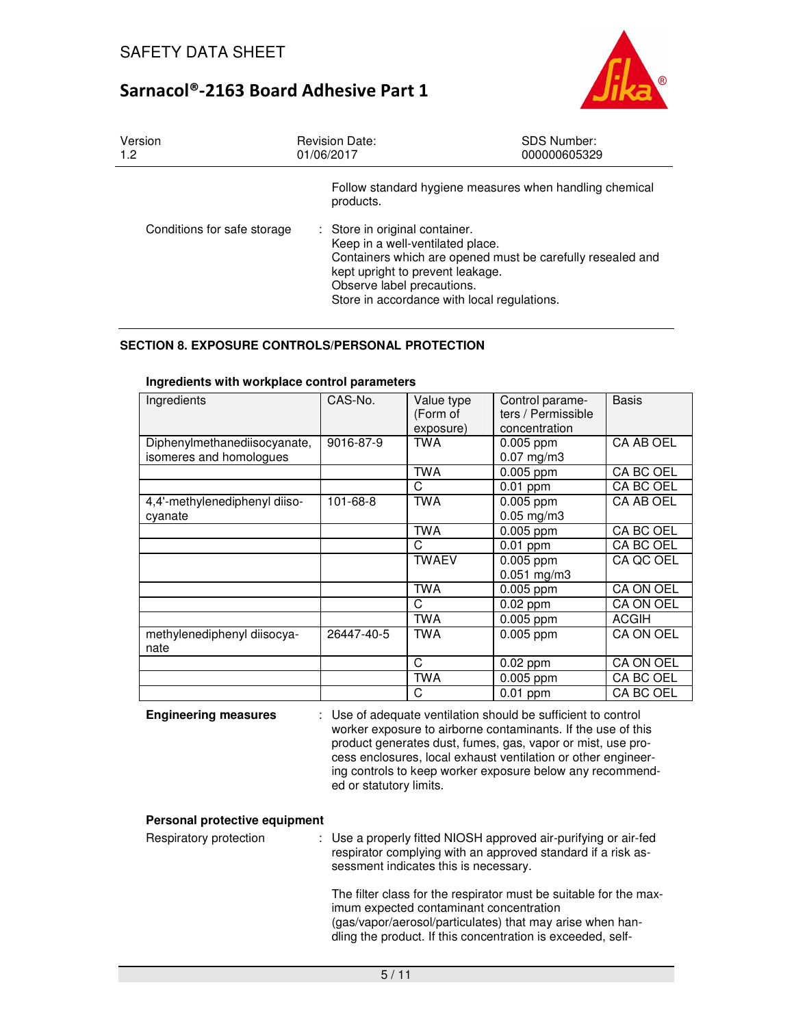

| Version<br>1.2              | <b>Revision Date:</b><br>01/06/2017                                                                                                                                                                                                               | <b>SDS Number:</b><br>000000605329 |
|-----------------------------|---------------------------------------------------------------------------------------------------------------------------------------------------------------------------------------------------------------------------------------------------|------------------------------------|
|                             | Follow standard hygiene measures when handling chemical<br>products.                                                                                                                                                                              |                                    |
| Conditions for safe storage | : Store in original container.<br>Keep in a well-ventilated place.<br>Containers which are opened must be carefully resealed and<br>kept upright to prevent leakage.<br>Observe label precautions.<br>Store in accordance with local regulations. |                                    |

## **SECTION 8. EXPOSURE CONTROLS/PERSONAL PROTECTION**

| Ingredients                                             | CAS-No.    | Value type<br>(Form of<br>exposure) | Control parame-<br>ters / Permissible<br>concentration | <b>Basis</b> |
|---------------------------------------------------------|------------|-------------------------------------|--------------------------------------------------------|--------------|
| Diphenylmethanediisocyanate,<br>isomeres and homologues | 9016-87-9  | <b>TWA</b>                          | $0.005$ ppm<br>$0.07$ mg/m3                            | CA AB OEL    |
|                                                         |            | <b>TWA</b>                          | $0.005$ ppm                                            | CA BC OEL    |
|                                                         |            | C                                   | $0.01$ ppm                                             | CA BC OEL    |
| 4,4'-methylenediphenyl diiso-<br>cyanate                | 101-68-8   | <b>TWA</b>                          | 0.005 ppm<br>$0.05$ mg/m3                              | CA AB OEL    |
|                                                         |            | <b>TWA</b>                          | $0.005$ ppm                                            | CA BC OEL    |
|                                                         |            | C                                   | $0.01$ ppm                                             | CA BC OEL    |
|                                                         |            | <b>TWAEV</b>                        | $0.005$ ppm<br>$0.051$ mg/m3                           | CA QC OEL    |
|                                                         |            | <b>TWA</b>                          | $0.005$ ppm                                            | CA ON OEL    |
|                                                         |            | C                                   | $0.02$ ppm                                             | CA ON OEL    |
|                                                         |            | TWA                                 | $0.005$ ppm                                            | <b>ACGIH</b> |
| methylenediphenyl diisocya-<br>nate                     | 26447-40-5 | TWA                                 | 0.005 ppm                                              | CA ON OEL    |
|                                                         |            | C                                   | $0.02$ ppm                                             | CA ON OEL    |
|                                                         |            | <b>TWA</b>                          | $0.005$ ppm                                            | CA BC OEL    |
|                                                         |            | C                                   | $0.01$ ppm                                             | CA BC OEL    |

### **Ingredients with workplace control parameters**

**Engineering measures** : Use of adequate ventilation should be sufficient to control worker exposure to airborne contaminants. If the use of this product generates dust, fumes, gas, vapor or mist, use process enclosures, local exhaust ventilation or other engineering controls to keep worker exposure below any recommended or statutory limits.

### **Personal protective equipment**

| Respiratory protection | : Use a properly fitted NIOSH approved air-purifying or air-fed<br>respirator complying with an approved standard if a risk as-<br>sessment indicates this is necessary.                                     |
|------------------------|--------------------------------------------------------------------------------------------------------------------------------------------------------------------------------------------------------------|
|                        | The filter class for the respirator must be suitable for the max-<br>imum expected contaminant concentration<br>المتمط المتمامات والمتامين والمتمسط والملط المتحامل بملاسم والمتمسم واستمسم المتمري والمستنب |

(gas/vapor/aerosol/particulates) that may arise when handling the product. If this concentration is exceeded, self-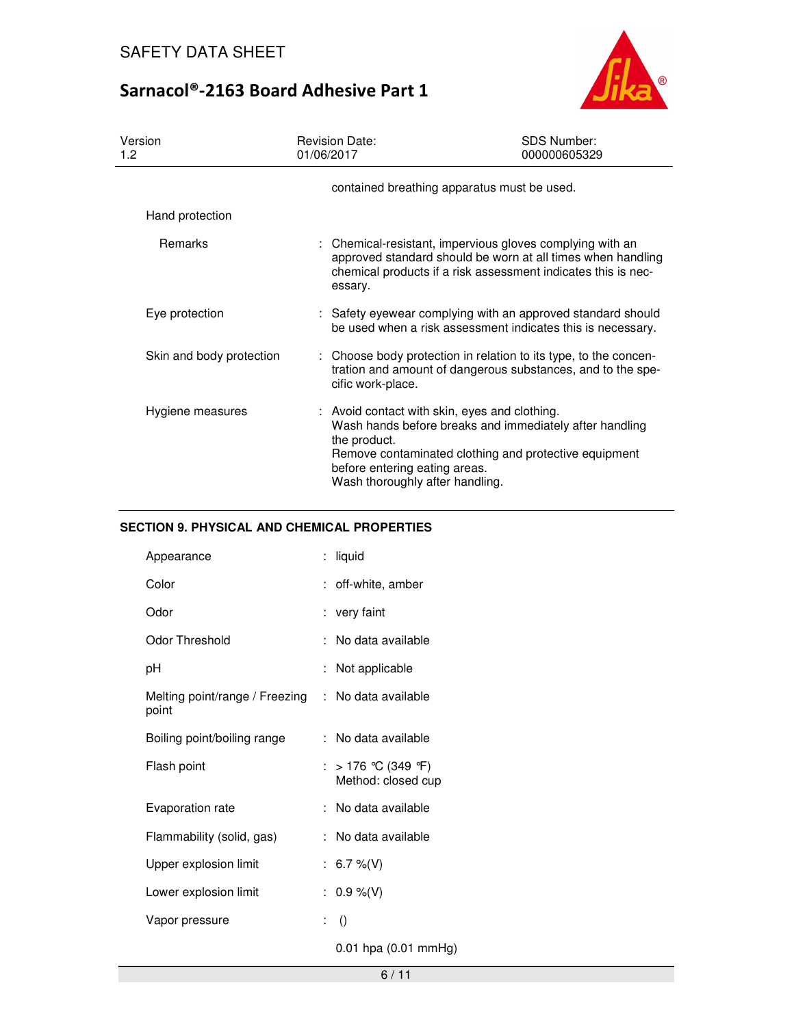

| Version<br>1.2           | <b>Revision Date:</b><br>01/06/2017                                                                                               | <b>SDS Number:</b><br>000000605329                                                                                                                                                        |
|--------------------------|-----------------------------------------------------------------------------------------------------------------------------------|-------------------------------------------------------------------------------------------------------------------------------------------------------------------------------------------|
|                          | contained breathing apparatus must be used.                                                                                       |                                                                                                                                                                                           |
| Hand protection          |                                                                                                                                   |                                                                                                                                                                                           |
| <b>Remarks</b>           | essary.                                                                                                                           | : Chemical-resistant, impervious gloves complying with an<br>approved standard should be worn at all times when handling<br>chemical products if a risk assessment indicates this is nec- |
| Eye protection           |                                                                                                                                   | : Safety eyewear complying with an approved standard should<br>be used when a risk assessment indicates this is necessary.                                                                |
| Skin and body protection | cific work-place.                                                                                                                 | : Choose body protection in relation to its type, to the concen-<br>tration and amount of dangerous substances, and to the spe-                                                           |
| Hygiene measures         | : Avoid contact with skin, eyes and clothing.<br>the product.<br>before entering eating areas.<br>Wash thoroughly after handling. | Wash hands before breaks and immediately after handling<br>Remove contaminated clothing and protective equipment                                                                          |

## **SECTION 9. PHYSICAL AND CHEMICAL PROPERTIES**

| Appearance                              | ÷.             | liquid                                   |
|-----------------------------------------|----------------|------------------------------------------|
| Color                                   |                | : off-white, amber                       |
| Odor                                    |                | : very faint                             |
| Odor Threshold                          |                | : No data available                      |
| рH                                      |                | : Not applicable                         |
| Melting point/range / Freezing<br>point |                | : No data available                      |
| Boiling point/boiling range             |                | : No data available                      |
| Flash point                             |                | : > 176 ℃ (349 °F)<br>Method: closed cup |
| Evaporation rate                        |                | : No data available                      |
| Flammability (solid, gas)               |                | No data available                        |
| Upper explosion limit                   |                | : 6.7 %(V)                               |
| Lower explosion limit                   |                | : $0.9\%$ (V)                            |
| Vapor pressure                          | $\mathbb{R}^n$ | $\left( \right)$                         |
|                                         |                | 0.01 hpa (0.01 mmHg)                     |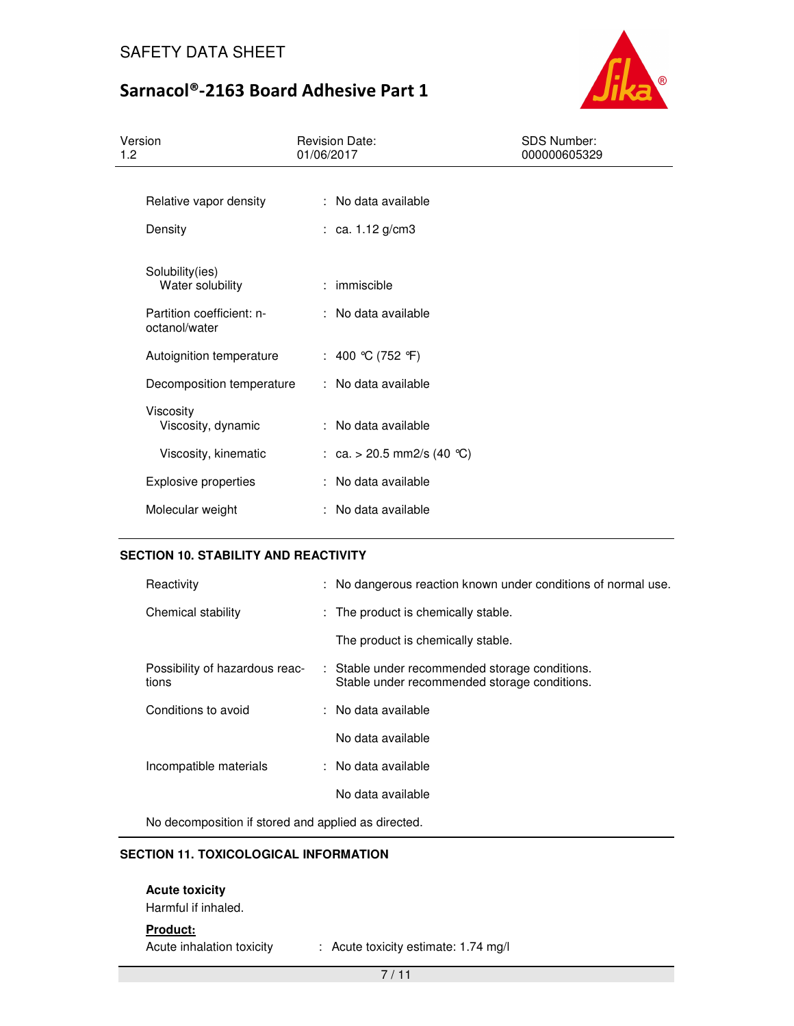

| Version<br>1.2                             | <b>Revision Date:</b><br>01/06/2017 | <b>SDS Number:</b><br>000000605329 |
|--------------------------------------------|-------------------------------------|------------------------------------|
|                                            |                                     |                                    |
| Relative vapor density                     | : No data available                 |                                    |
| Density                                    | : ca. $1.12$ g/cm3                  |                                    |
| Solubility(ies)<br>Water solubility        | : immiscible                        |                                    |
| Partition coefficient: n-<br>octanol/water | : No data available                 |                                    |
| Autoignition temperature                   | : 400 °C (752 °F)                   |                                    |
| Decomposition temperature                  | : No data available                 |                                    |
| Viscosity<br>Viscosity, dynamic            | : No data available                 |                                    |
| Viscosity, kinematic                       | : ca. > 20.5 mm2/s (40 °C)          |                                    |
| <b>Explosive properties</b>                | : No data available                 |                                    |
| Molecular weight                           | : No data available                 |                                    |

## **SECTION 10. STABILITY AND REACTIVITY**

| Reactivity                              | : No dangerous reaction known under conditions of normal use.                                  |
|-----------------------------------------|------------------------------------------------------------------------------------------------|
| Chemical stability                      | : The product is chemically stable.                                                            |
|                                         | The product is chemically stable.                                                              |
| Possibility of hazardous reac-<br>tions | : Stable under recommended storage conditions.<br>Stable under recommended storage conditions. |
| Conditions to avoid                     | : No data available                                                                            |
|                                         | No data available                                                                              |
| Incompatible materials                  | : No data available                                                                            |
|                                         | No data available                                                                              |

No decomposition if stored and applied as directed.

## **SECTION 11. TOXICOLOGICAL INFORMATION**

## **Acute toxicity**

Harmful if inhaled.

**Product:**

Acute inhalation toxicity : Acute toxicity estimate: 1.74 mg/l

7 / 11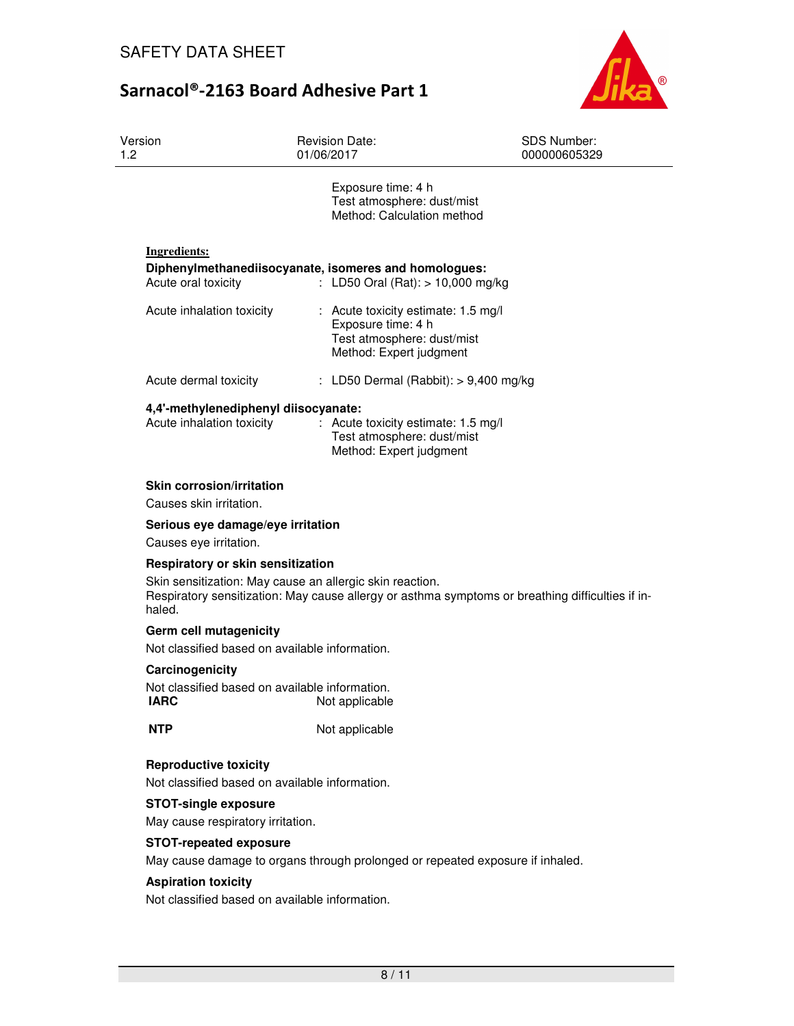

| Version<br>1.2            | <b>Revision Date:</b><br>01/06/2017                                                                                                  | <b>SDS Number:</b><br>000000605329 |
|---------------------------|--------------------------------------------------------------------------------------------------------------------------------------|------------------------------------|
|                           | Exposure time: 4 h<br>Test atmosphere: dust/mist<br>Method: Calculation method                                                       |                                    |
| Ingredients:              |                                                                                                                                      |                                    |
| Acute oral toxicity       | Diphenylmethanediisocyanate, isomeres and homologues:<br>: LD50 Oral (Rat): $> 10,000$ mg/kg                                         |                                    |
| Acute inhalation toxicity | $\therefore$ Acute toxicity estimate: 1.5 mg/l<br>Exposure time: 4 h<br>Test atmosphere: dust/mist<br>Method: Expert judgment        |                                    |
| Acute dermal toxicity     | : LD50 Dermal (Rabbit): $> 9,400$ mg/kg                                                                                              |                                    |
| Acute inhalation toxicity | 4,4'-methylenediphenyl diisocyanate:<br>: Acute toxicity estimate: 1.5 mg/l<br>Test atmosphere: dust/mist<br>Method: Expert judgment |                                    |

### **Skin corrosion/irritation**

Causes skin irritation.

#### **Serious eye damage/eye irritation**

Causes eye irritation.

#### **Respiratory or skin sensitization**

Skin sensitization: May cause an allergic skin reaction. Respiratory sensitization: May cause allergy or asthma symptoms or breathing difficulties if inhaled.

#### **Germ cell mutagenicity**

Not classified based on available information.

#### **Carcinogenicity**

Not classified based on available information. **IARC** Not applicable

**NTP** Not applicable

## **Reproductive toxicity**

Not classified based on available information.

### **STOT-single exposure**

May cause respiratory irritation.

#### **STOT-repeated exposure**

May cause damage to organs through prolonged or repeated exposure if inhaled.

#### **Aspiration toxicity**

Not classified based on available information.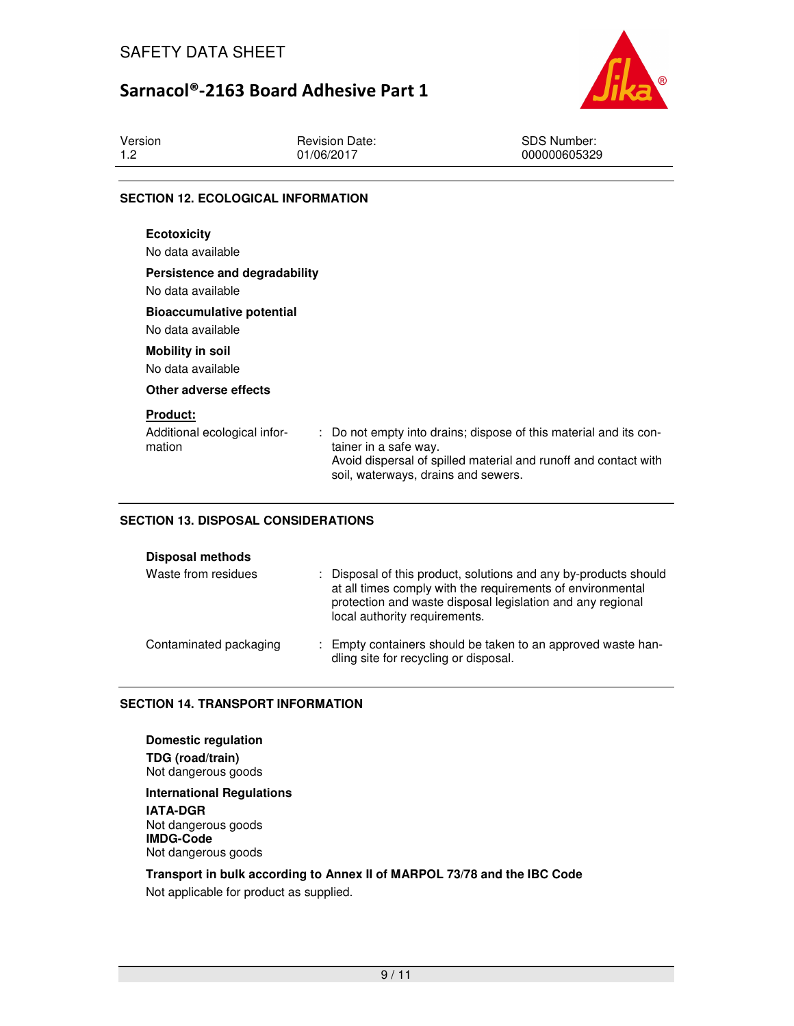

| Version | <b>Revision Date:</b> | <b>SDS Number:</b> |
|---------|-----------------------|--------------------|
| 19      | 01/06/2017            | 000000605329       |
|         |                       |                    |

### **SECTION 12. ECOLOGICAL INFORMATION**

| <b>Ecotoxicity</b><br>No data available                   |                                                                                                                                                                                                      |
|-----------------------------------------------------------|------------------------------------------------------------------------------------------------------------------------------------------------------------------------------------------------------|
| Persistence and degradability<br>No data available        |                                                                                                                                                                                                      |
| <b>Bioaccumulative potential</b><br>No data available     |                                                                                                                                                                                                      |
| <b>Mobility in soil</b><br>No data available              |                                                                                                                                                                                                      |
| Other adverse effects                                     |                                                                                                                                                                                                      |
| <b>Product:</b><br>Additional ecological infor-<br>mation | : Do not empty into drains; dispose of this material and its con-<br>tainer in a safe way.<br>Avoid dispersal of spilled material and runoff and contact with<br>soil, waterways, drains and sewers. |

## **SECTION 13. DISPOSAL CONSIDERATIONS**

| <b>Disposal methods</b> |  |
|-------------------------|--|
|-------------------------|--|

| Waste from residues    | : Disposal of this product, solutions and any by-products should<br>at all times comply with the requirements of environmental<br>protection and waste disposal legislation and any regional<br>local authority requirements. |
|------------------------|-------------------------------------------------------------------------------------------------------------------------------------------------------------------------------------------------------------------------------|
| Contaminated packaging | : Empty containers should be taken to an approved waste han-<br>dling site for recycling or disposal.                                                                                                                         |

### **SECTION 14. TRANSPORT INFORMATION**

**Domestic regulation TDG (road/train)** Not dangerous goods

**International Regulations IATA-DGR** Not dangerous goods **IMDG-Code** Not dangerous goods

# **Transport in bulk according to Annex II of MARPOL 73/78 and the IBC Code**

Not applicable for product as supplied.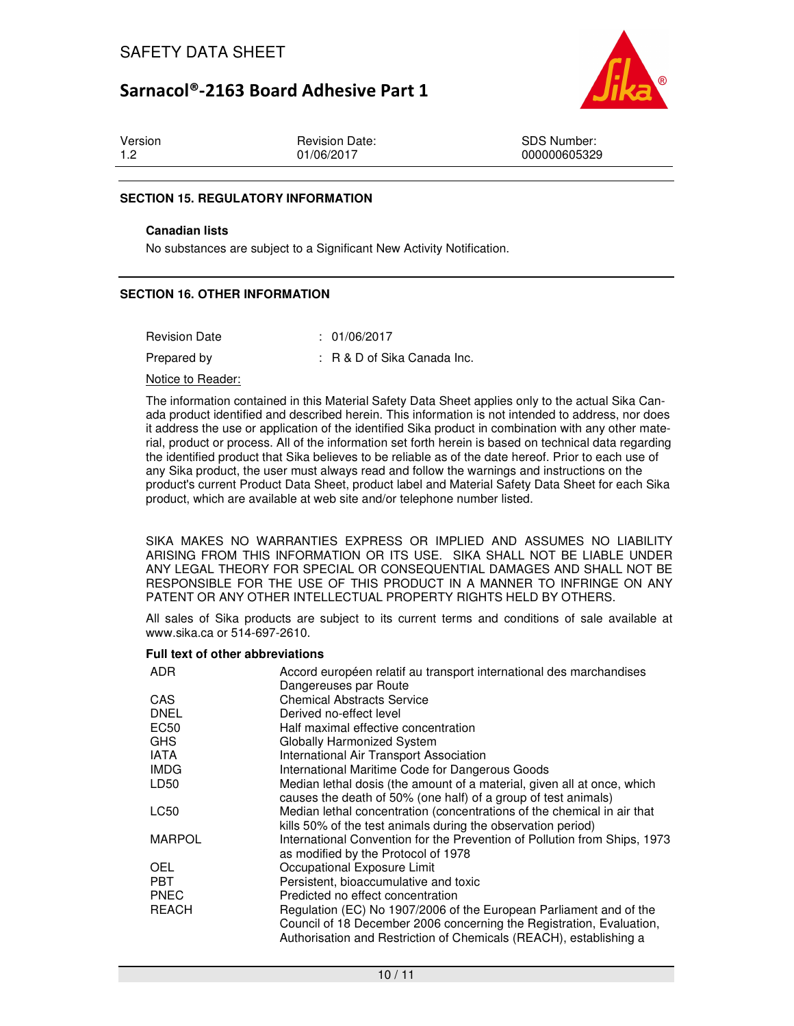

| Version |  |  |
|---------|--|--|
| 1.2     |  |  |

Revision Date: 01/06/2017

SDS Number: 000000605329

### **SECTION 15. REGULATORY INFORMATION**

#### **Canadian lists**

No substances are subject to a Significant New Activity Notification.

### **SECTION 16. OTHER INFORMATION**

| <b>Revision Date</b> | : 01/06/2017                   |
|----------------------|--------------------------------|
| Prepared by          | $: R \& D$ of Sika Canada Inc. |

#### Notice to Reader:

The information contained in this Material Safety Data Sheet applies only to the actual Sika Canada product identified and described herein. This information is not intended to address, nor does it address the use or application of the identified Sika product in combination with any other material, product or process. All of the information set forth herein is based on technical data regarding the identified product that Sika believes to be reliable as of the date hereof. Prior to each use of any Sika product, the user must always read and follow the warnings and instructions on the product's current Product Data Sheet, product label and Material Safety Data Sheet for each Sika product, which are available at web site and/or telephone number listed.

SIKA MAKES NO WARRANTIES EXPRESS OR IMPLIED AND ASSUMES NO LIABILITY ARISING FROM THIS INFORMATION OR ITS USE. SIKA SHALL NOT BE LIABLE UNDER ANY LEGAL THEORY FOR SPECIAL OR CONSEQUENTIAL DAMAGES AND SHALL NOT BE RESPONSIBLE FOR THE USE OF THIS PRODUCT IN A MANNER TO INFRINGE ON ANY PATENT OR ANY OTHER INTELLECTUAL PROPERTY RIGHTS HELD BY OTHERS.

All sales of Sika products are subject to its current terms and conditions of sale available at www.sika.ca or 514-697-2610.

### **Full text of other abbreviations**

| <b>ADR</b>       | Accord européen relatif au transport international des marchandises       |
|------------------|---------------------------------------------------------------------------|
| <b>CAS</b>       | Dangereuses par Route<br><b>Chemical Abstracts Service</b>                |
| <b>DNEL</b>      | Derived no-effect level                                                   |
| EC50             | Half maximal effective concentration                                      |
| <b>GHS</b>       | <b>Globally Harmonized System</b>                                         |
| <b>IATA</b>      | International Air Transport Association                                   |
| <b>IMDG</b>      | International Maritime Code for Dangerous Goods                           |
| LD <sub>50</sub> | Median lethal dosis (the amount of a material, given all at once, which   |
|                  | causes the death of 50% (one half) of a group of test animals)            |
| LC50             | Median lethal concentration (concentrations of the chemical in air that   |
|                  | kills 50% of the test animals during the observation period)              |
| <b>MARPOL</b>    | International Convention for the Prevention of Pollution from Ships, 1973 |
|                  | as modified by the Protocol of 1978                                       |
| <b>OEL</b>       | Occupational Exposure Limit                                               |
| <b>PBT</b>       | Persistent, bioaccumulative and toxic                                     |
| <b>PNEC</b>      | Predicted no effect concentration                                         |
| <b>REACH</b>     | Regulation (EC) No 1907/2006 of the European Parliament and of the        |
|                  | Council of 18 December 2006 concerning the Registration, Evaluation,      |
|                  | Authorisation and Restriction of Chemicals (REACH), establishing a        |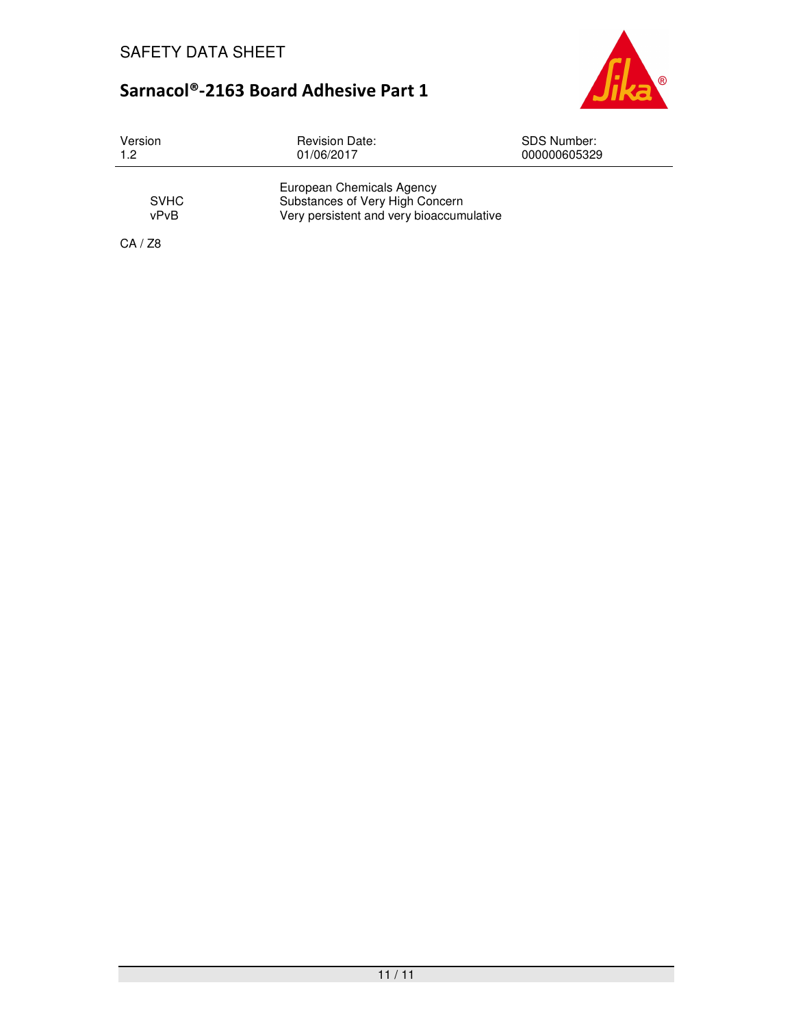

| Version             | <b>Revision Date:</b>                                                                                    | <b>SDS Number:</b> |
|---------------------|----------------------------------------------------------------------------------------------------------|--------------------|
| 1.2                 | 01/06/2017                                                                                               | 000000605329       |
| <b>SVHC</b><br>vPvB | European Chemicals Agency<br>Substances of Very High Concern<br>Very persistent and very bioaccumulative |                    |

CA / Z8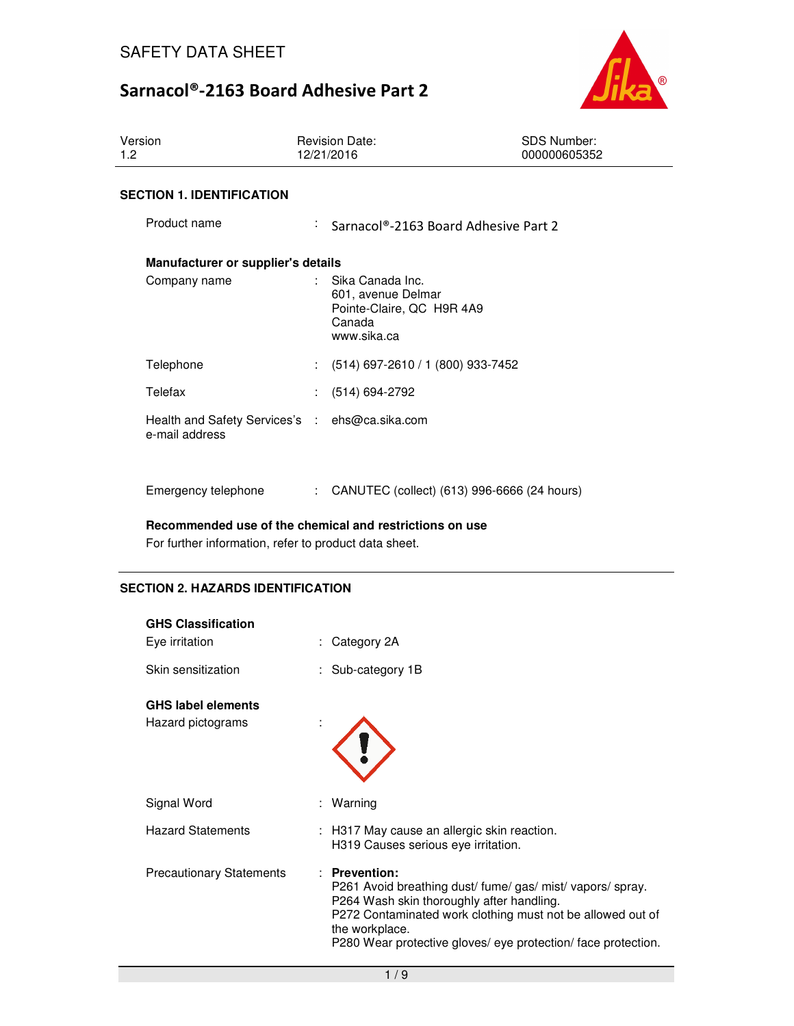

| Version<br>1.2                     | <b>Revision Date:</b><br>12/21/2016                                                          | <b>SDS Number:</b><br>000000605352                |
|------------------------------------|----------------------------------------------------------------------------------------------|---------------------------------------------------|
| <b>SECTION 1. IDENTIFICATION</b>   |                                                                                              |                                                   |
| Product name                       | A.                                                                                           | Sarnacol®-2163 Board Adhesive Part 2              |
| Manufacturer or supplier's details |                                                                                              |                                                   |
| Company name                       | Sika Canada Inc.<br>601, avenue Delmar<br>Pointe-Claire, QC H9R 4A9<br>Canada<br>www.sika.ca |                                                   |
| Telephone                          | (514) 697-2610 / 1 (800) 933-7452<br>$\mathbb{R}^n$                                          |                                                   |
| Telefax                            | (514) 694-2792                                                                               |                                                   |
| e-mail address                     | Health and Safety Services's : ehs@ca.sika.com                                               |                                                   |
| Emergency telephone                |                                                                                              | : CANUTEC (collect) $(613)$ 996-6666 $(24$ hours) |

**Recommended use of the chemical and restrictions on use** 

For further information, refer to product data sheet.

## **SECTION 2. HAZARDS IDENTIFICATION**

| <b>GHS Classification</b>                      |                                                                                                                                                                                                                                                                          |
|------------------------------------------------|--------------------------------------------------------------------------------------------------------------------------------------------------------------------------------------------------------------------------------------------------------------------------|
| Eye irritation                                 | : Category 2A                                                                                                                                                                                                                                                            |
| Skin sensitization                             | : Sub-category 1B                                                                                                                                                                                                                                                        |
| <b>GHS label elements</b><br>Hazard pictograms |                                                                                                                                                                                                                                                                          |
| Signal Word                                    | : Warning                                                                                                                                                                                                                                                                |
| <b>Hazard Statements</b>                       | H317 May cause an allergic skin reaction.<br>H319 Causes serious eye irritation.                                                                                                                                                                                         |
| <b>Precautionary Statements</b>                | : Prevention:<br>P261 Avoid breathing dust/ fume/gas/ mist/ vapors/ spray.<br>P264 Wash skin thoroughly after handling.<br>P272 Contaminated work clothing must not be allowed out of<br>the workplace.<br>P280 Wear protective gloves/ eye protection/ face protection. |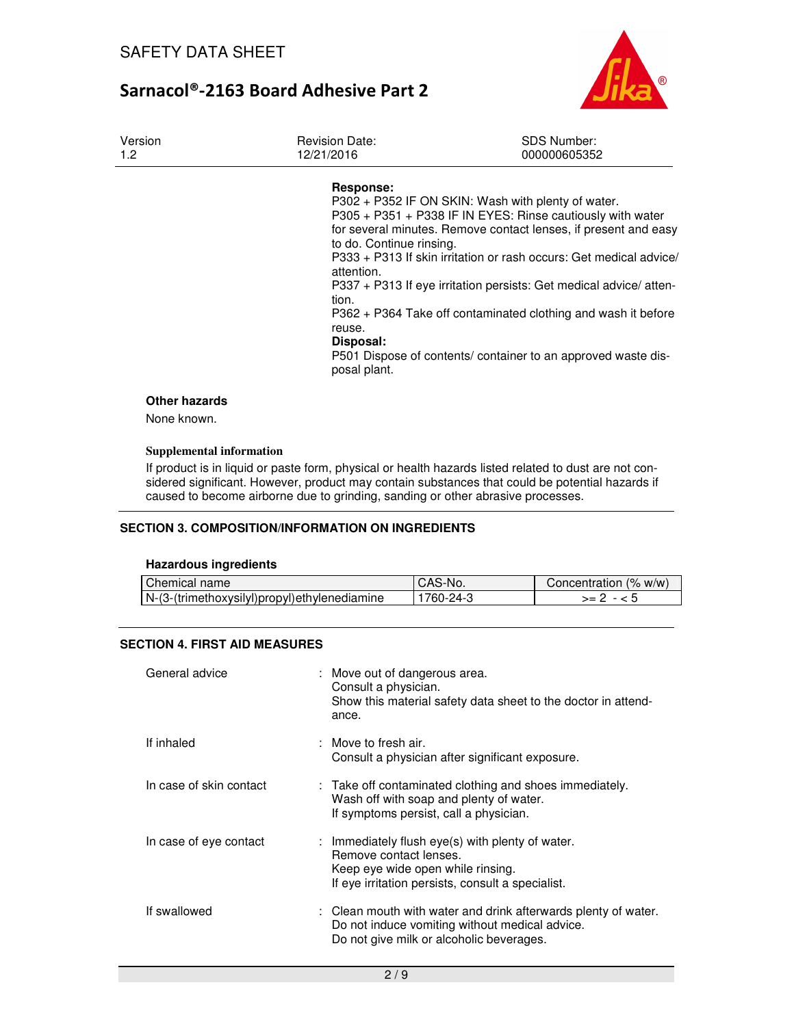

| Version<br>1.2               | <b>Revision Date:</b><br>12/21/2016                                                                 | <b>SDS Number:</b><br>000000605352                                                                                                                                                                                                                                                                                                                                                                                                                               |
|------------------------------|-----------------------------------------------------------------------------------------------------|------------------------------------------------------------------------------------------------------------------------------------------------------------------------------------------------------------------------------------------------------------------------------------------------------------------------------------------------------------------------------------------------------------------------------------------------------------------|
|                              | Response:<br>to do. Continue rinsing.<br>attention.<br>tion.<br>reuse.<br>Disposal:<br>posal plant. | P302 + P352 IF ON SKIN: Wash with plenty of water.<br>P305 + P351 + P338 IF IN EYES: Rinse cautiously with water<br>for several minutes. Remove contact lenses, if present and easy<br>P333 + P313 If skin irritation or rash occurs: Get medical advice<br>P337 + P313 If eye irritation persists: Get medical advice/ atten-<br>P362 + P364 Take off contaminated clothing and wash it before<br>P501 Dispose of contents/ container to an approved waste dis- |
| Other hazards<br>None known. |                                                                                                     |                                                                                                                                                                                                                                                                                                                                                                                                                                                                  |

## **Supplemental information**

If product is in liquid or paste form, physical or health hazards listed related to dust are not considered significant. However, product may contain substances that could be potential hazards if caused to become airborne due to grinding, sanding or other abrasive processes.

## **SECTION 3. COMPOSITION/INFORMATION ON INGREDIENTS**

#### **Hazardous ingredients**

| Chemical name                                 | CAS-No.         | Concentration (% w/w) |
|-----------------------------------------------|-----------------|-----------------------|
| IN-(3-(trimethoxysilyl)propyl)ethylenediamine | $24-3$<br>760-. | >=                    |

## **SECTION 4. FIRST AID MEASURES**

| General advice          | : Move out of dangerous area.<br>Consult a physician.<br>Show this material safety data sheet to the doctor in attend-<br>ance.                                      |
|-------------------------|----------------------------------------------------------------------------------------------------------------------------------------------------------------------|
| If inhaled              | $\therefore$ Move to fresh air.<br>Consult a physician after significant exposure.                                                                                   |
| In case of skin contact | : Take off contaminated clothing and shoes immediately.<br>Wash off with soap and plenty of water.<br>If symptoms persist, call a physician.                         |
| In case of eye contact  | : Immediately flush eye(s) with plenty of water.<br>Remove contact lenses.<br>Keep eye wide open while rinsing.<br>If eye irritation persists, consult a specialist. |
| If swallowed            | : Clean mouth with water and drink afterwards plenty of water.<br>Do not induce vomiting without medical advice.<br>Do not give milk or alcoholic beverages.         |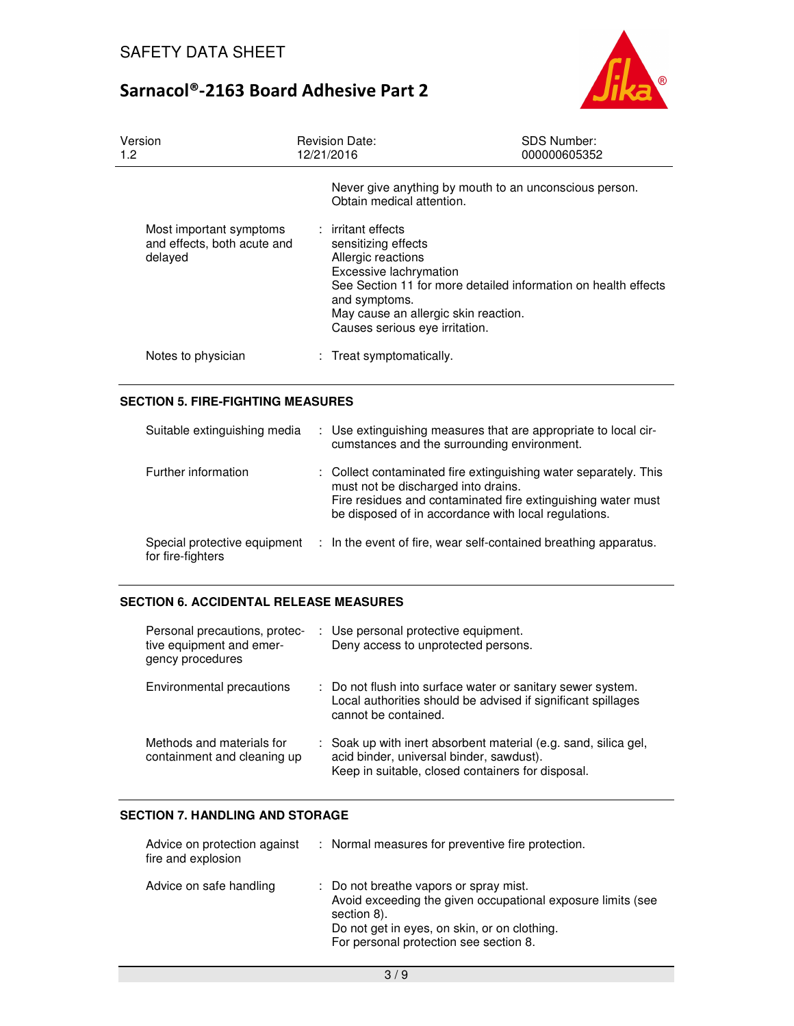

| Version<br>1.2                                                    | <b>Revision Date:</b><br>12/21/2016                                                                                                                                                                                                                    | <b>SDS Number:</b><br>000000605352 |
|-------------------------------------------------------------------|--------------------------------------------------------------------------------------------------------------------------------------------------------------------------------------------------------------------------------------------------------|------------------------------------|
|                                                                   | Never give anything by mouth to an unconscious person.<br>Obtain medical attention.                                                                                                                                                                    |                                    |
| Most important symptoms<br>and effects, both acute and<br>delayed | : irritant effects<br>sensitizing effects<br>Allergic reactions<br>Excessive lachrymation<br>See Section 11 for more detailed information on health effects<br>and symptoms.<br>May cause an allergic skin reaction.<br>Causes serious eye irritation. |                                    |
| Notes to physician                                                | : Treat symptomatically.                                                                                                                                                                                                                               |                                    |

## **SECTION 5. FIRE-FIGHTING MEASURES**

| Suitable extinguishing media                      | : Use extinguishing measures that are appropriate to local cir-<br>cumstances and the surrounding environment.                                                                                                                  |
|---------------------------------------------------|---------------------------------------------------------------------------------------------------------------------------------------------------------------------------------------------------------------------------------|
| Further information                               | : Collect contaminated fire extinguishing water separately. This<br>must not be discharged into drains.<br>Fire residues and contaminated fire extinguishing water must<br>be disposed of in accordance with local regulations. |
| Special protective equipment<br>for fire-fighters | : In the event of fire, wear self-contained breathing apparatus.                                                                                                                                                                |

## **SECTION 6. ACCIDENTAL RELEASE MEASURES**

| Personal precautions, protec-<br>tive equipment and emer-<br>gency procedures | : Use personal protective equipment.<br>Deny access to unprotected persons.                                                                                      |
|-------------------------------------------------------------------------------|------------------------------------------------------------------------------------------------------------------------------------------------------------------|
| Environmental precautions                                                     | : Do not flush into surface water or sanitary sewer system.<br>Local authorities should be advised if significant spillages<br>cannot be contained.              |
| Methods and materials for<br>containment and cleaning up                      | : Soak up with inert absorbent material (e.g. sand, silica gel,<br>acid binder, universal binder, sawdust).<br>Keep in suitable, closed containers for disposal. |

## **SECTION 7. HANDLING AND STORAGE**

| Advice on protection against<br>fire and explosion | : Normal measures for preventive fire protection.                                                                                                                                                              |
|----------------------------------------------------|----------------------------------------------------------------------------------------------------------------------------------------------------------------------------------------------------------------|
| Advice on safe handling                            | : Do not breathe vapors or spray mist.<br>Avoid exceeding the given occupational exposure limits (see<br>section 8).<br>Do not get in eyes, on skin, or on clothing.<br>For personal protection see section 8. |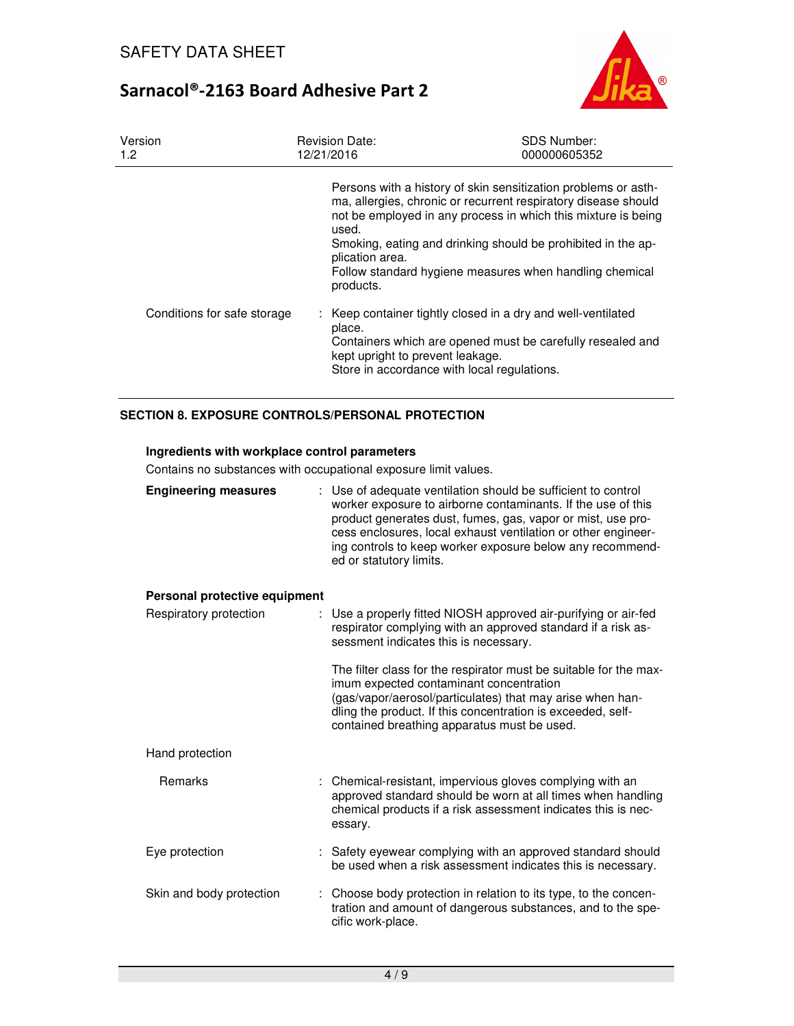

| Version<br>1.2 <sub>2</sub> | <b>Revision Date:</b><br>12/21/2016                                                                                                                                                                                                                                                                                                                                   | <b>SDS Number:</b><br>000000605352 |
|-----------------------------|-----------------------------------------------------------------------------------------------------------------------------------------------------------------------------------------------------------------------------------------------------------------------------------------------------------------------------------------------------------------------|------------------------------------|
|                             | Persons with a history of skin sensitization problems or asth-<br>ma, allergies, chronic or recurrent respiratory disease should<br>not be employed in any process in which this mixture is being<br>used.<br>Smoking, eating and drinking should be prohibited in the ap-<br>plication area.<br>Follow standard hygiene measures when handling chemical<br>products. |                                    |
| Conditions for safe storage | : Keep container tightly closed in a dry and well-ventilated<br>place.<br>Containers which are opened must be carefully resealed and<br>kept upright to prevent leakage.<br>Store in accordance with local regulations.                                                                                                                                               |                                    |

### **SECTION 8. EXPOSURE CONTROLS/PERSONAL PROTECTION**

## **Ingredients with workplace control parameters**

Contains no substances with occupational exposure limit values.

| <b>Engineering measures</b>   | : Use of adequate ventilation should be sufficient to control<br>worker exposure to airborne contaminants. If the use of this<br>product generates dust, fumes, gas, vapor or mist, use pro-<br>cess enclosures, local exhaust ventilation or other engineer-<br>ing controls to keep worker exposure below any recommend-<br>ed or statutory limits. |
|-------------------------------|-------------------------------------------------------------------------------------------------------------------------------------------------------------------------------------------------------------------------------------------------------------------------------------------------------------------------------------------------------|
| Personal protective equipment |                                                                                                                                                                                                                                                                                                                                                       |
| Respiratory protection        | Use a properly fitted NIOSH approved air-purifying or air-fed<br>respirator complying with an approved standard if a risk as-<br>sessment indicates this is necessary.                                                                                                                                                                                |
|                               | The filter class for the respirator must be suitable for the max-<br>imum expected contaminant concentration<br>(gas/vapor/aerosol/particulates) that may arise when han-<br>dling the product. If this concentration is exceeded, self-<br>contained breathing apparatus must be used.                                                               |
| Hand protection               |                                                                                                                                                                                                                                                                                                                                                       |
| Remarks                       | : Chemical-resistant, impervious gloves complying with an<br>approved standard should be worn at all times when handling<br>chemical products if a risk assessment indicates this is nec-<br>essary.                                                                                                                                                  |
| Eye protection                | : Safety eyewear complying with an approved standard should<br>be used when a risk assessment indicates this is necessary.                                                                                                                                                                                                                            |
| Skin and body protection      | : Choose body protection in relation to its type, to the concen-<br>tration and amount of dangerous substances, and to the spe-<br>cific work-place.                                                                                                                                                                                                  |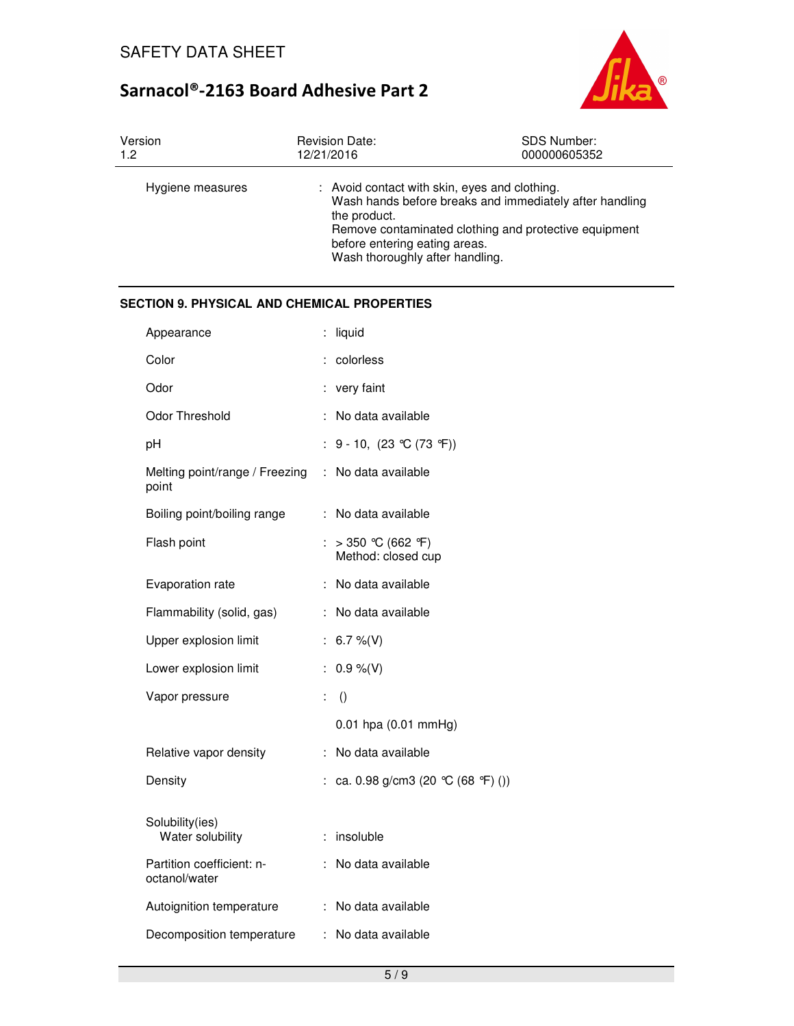

| Version          | <b>Revision Date:</b>                                                                                                             | <b>SDS Number:</b>                                                                                               |
|------------------|-----------------------------------------------------------------------------------------------------------------------------------|------------------------------------------------------------------------------------------------------------------|
| 1.2              | 12/21/2016                                                                                                                        | 000000605352                                                                                                     |
| Hygiene measures | : Avoid contact with skin, eyes and clothing.<br>the product.<br>before entering eating areas.<br>Wash thoroughly after handling. | Wash hands before breaks and immediately after handling<br>Remove contaminated clothing and protective equipment |

## **SECTION 9. PHYSICAL AND CHEMICAL PROPERTIES**

| Appearance                                 |    | liquid                                  |
|--------------------------------------------|----|-----------------------------------------|
| Color                                      |    | colorless                               |
| Odor                                       |    | : very faint                            |
| Odor Threshold                             |    | No data available                       |
| рH                                         | ÷  | 9 - 10, $(23 °C (73 °F))$               |
| Melting point/range / Freezing<br>point    | ÷. | No data available                       |
| Boiling point/boiling range                |    | : No data available                     |
| Flash point                                |    | > 350 °C (662 °F)<br>Method: closed cup |
| Evaporation rate                           | ÷  | No data available                       |
| Flammability (solid, gas)                  |    | : No data available                     |
| Upper explosion limit                      | ÷. | 6.7 %(V)                                |
| Lower explosion limit                      | t. | $0.9 \%$ (V)                            |
| Vapor pressure                             | ÷  | $\left( \right)$                        |
|                                            |    | $0.01$ hpa $(0.01$ mmHg)                |
| Relative vapor density                     | ÷  | No data available                       |
| Density                                    |    | : ca. 0.98 g/cm3 (20 °C (68 °F) ())     |
| Solubility(ies)<br>Water solubility        |    | : insoluble                             |
| Partition coefficient: n-<br>octanol/water |    | No data available                       |
| Autoignition temperature                   |    | No data available                       |
| Decomposition temperature                  | t. | No data available                       |
|                                            |    |                                         |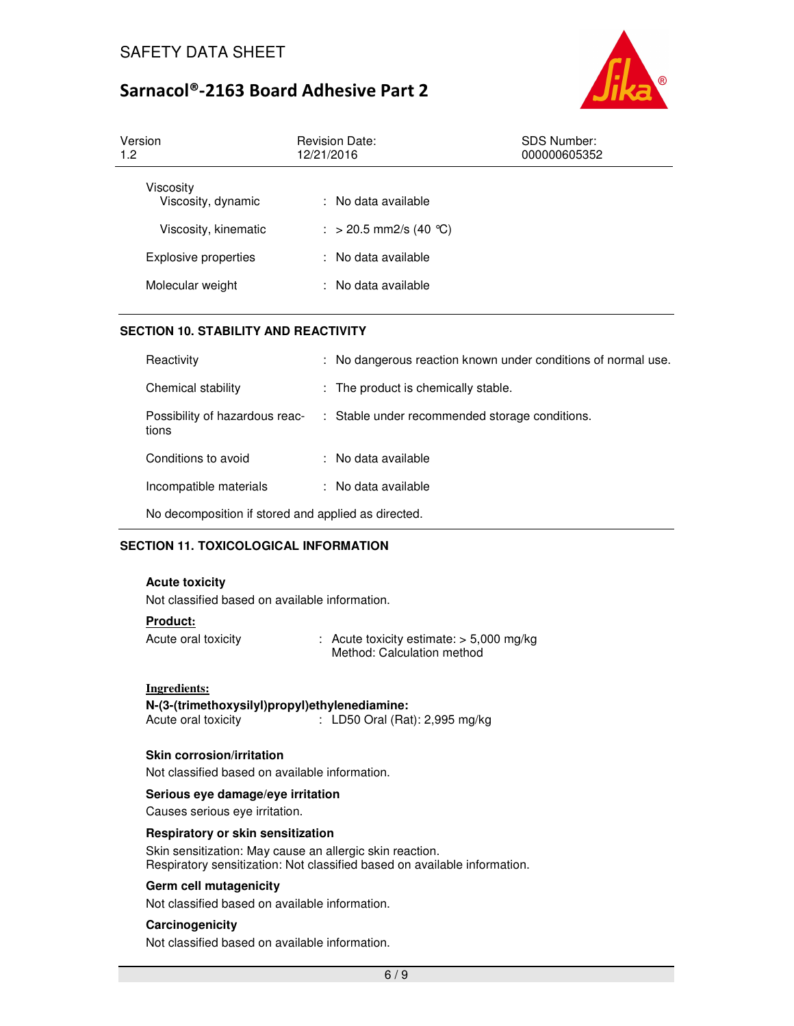

| Version<br>1.2                  | <b>Revision Date:</b><br>12/21/2016 | SDS Number:<br>000000605352 |  |
|---------------------------------|-------------------------------------|-----------------------------|--|
| Viscosity<br>Viscosity, dynamic | : No data available                 |                             |  |
| Viscosity, kinematic            | : > 20.5 mm2/s (40 °C)              |                             |  |
| Explosive properties            | : No data available                 |                             |  |
| Molecular weight                | : No data available                 |                             |  |

### **SECTION 10. STABILITY AND REACTIVITY**

| Reactivity                                          |  | : No dangerous reaction known under conditions of normal use. |
|-----------------------------------------------------|--|---------------------------------------------------------------|
| Chemical stability                                  |  | : The product is chemically stable.                           |
| Possibility of hazardous reac-<br>tions             |  | : Stable under recommended storage conditions.                |
| Conditions to avoid                                 |  | : No data available                                           |
| Incompatible materials                              |  | : No data available                                           |
| No decomposition if stored and applied as directed. |  |                                                               |

## **SECTION 11. TOXICOLOGICAL INFORMATION**

#### **Acute toxicity**

Not classified based on available information.

#### **Product:**

Acute oral toxicity : Acute toxicity estimate: > 5,000 mg/kg Method: Calculation method

### **Ingredients:**

**N-(3-(trimethoxysilyl)propyl)ethylenediamine:**   $\therefore$  LD50 Oral (Rat): 2,995 mg/kg

### **Skin corrosion/irritation**

Not classified based on available information.

### **Serious eye damage/eye irritation**

Causes serious eye irritation.

### **Respiratory or skin sensitization**

Skin sensitization: May cause an allergic skin reaction. Respiratory sensitization: Not classified based on available information.

### **Germ cell mutagenicity**

Not classified based on available information.

### **Carcinogenicity**

Not classified based on available information.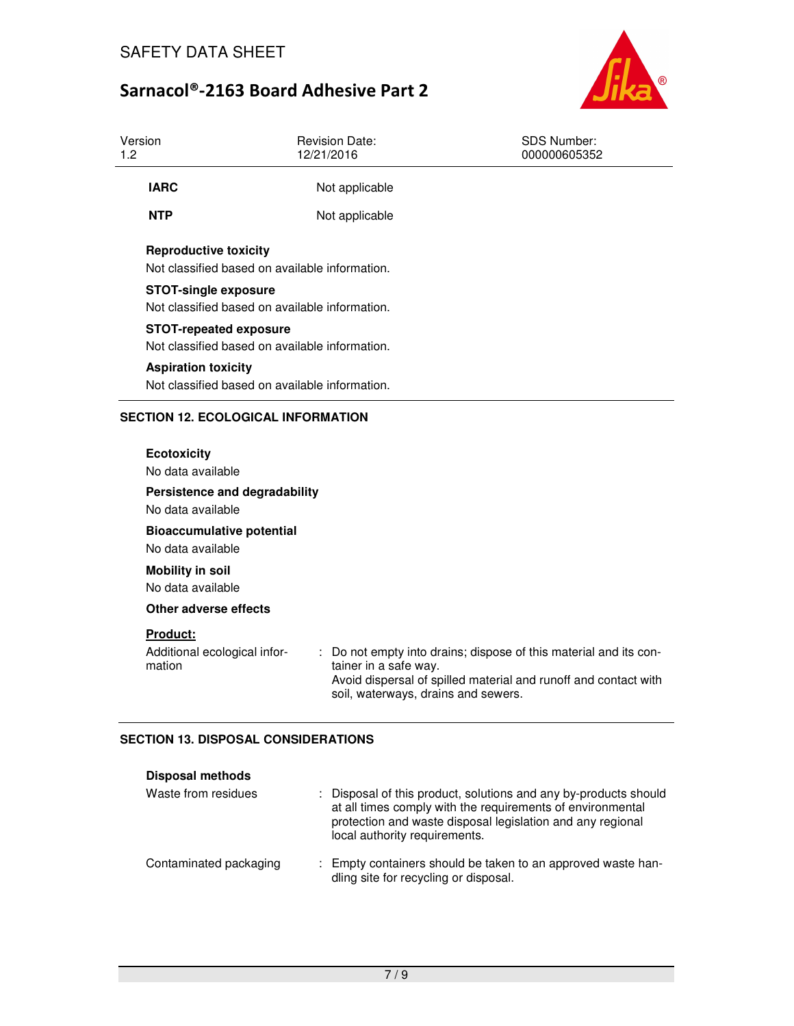

| Version<br>1.2 |                                                                                                                                   | <b>Revision Date:</b><br>12/21/2016                               | <b>SDS Number:</b><br>000000605352                                                                                                 |  |  |
|----------------|-----------------------------------------------------------------------------------------------------------------------------------|-------------------------------------------------------------------|------------------------------------------------------------------------------------------------------------------------------------|--|--|
|                | <b>IARC</b>                                                                                                                       | Not applicable                                                    |                                                                                                                                    |  |  |
|                | <b>NTP</b>                                                                                                                        | Not applicable                                                    |                                                                                                                                    |  |  |
|                | <b>Reproductive toxicity</b><br>Not classified based on available information.<br><b>STOT-single exposure</b>                     |                                                                   |                                                                                                                                    |  |  |
|                | Not classified based on available information.<br><b>STOT-repeated exposure</b><br>Not classified based on available information. |                                                                   |                                                                                                                                    |  |  |
|                | <b>Aspiration toxicity</b><br>Not classified based on available information.                                                      |                                                                   |                                                                                                                                    |  |  |
|                | <b>SECTION 12. ECOLOGICAL INFORMATION</b>                                                                                         |                                                                   |                                                                                                                                    |  |  |
|                | <b>Ecotoxicity</b><br>No data available<br>Persistence and degradability                                                          |                                                                   |                                                                                                                                    |  |  |
|                | No data available<br><b>Bioaccumulative potential</b><br>No data available                                                        |                                                                   |                                                                                                                                    |  |  |
|                | <b>Mobility in soil</b><br>No data available                                                                                      |                                                                   |                                                                                                                                    |  |  |
|                | Other adverse effects                                                                                                             |                                                                   |                                                                                                                                    |  |  |
|                | Product:<br>Additional ecological infor-<br>mation                                                                                | ÷<br>tainer in a safe way.<br>soil, waterways, drains and sewers. | Do not empty into drains; dispose of this material and its con-<br>Avoid dispersal of spilled material and runoff and contact with |  |  |

## **SECTION 13. DISPOSAL CONSIDERATIONS**

| <b>Disposal methods</b> |                                                                                                                                                                                                                               |
|-------------------------|-------------------------------------------------------------------------------------------------------------------------------------------------------------------------------------------------------------------------------|
| Waste from residues     | : Disposal of this product, solutions and any by-products should<br>at all times comply with the requirements of environmental<br>protection and waste disposal legislation and any regional<br>local authority requirements. |
| Contaminated packaging  | : Empty containers should be taken to an approved waste han-<br>dling site for recycling or disposal.                                                                                                                         |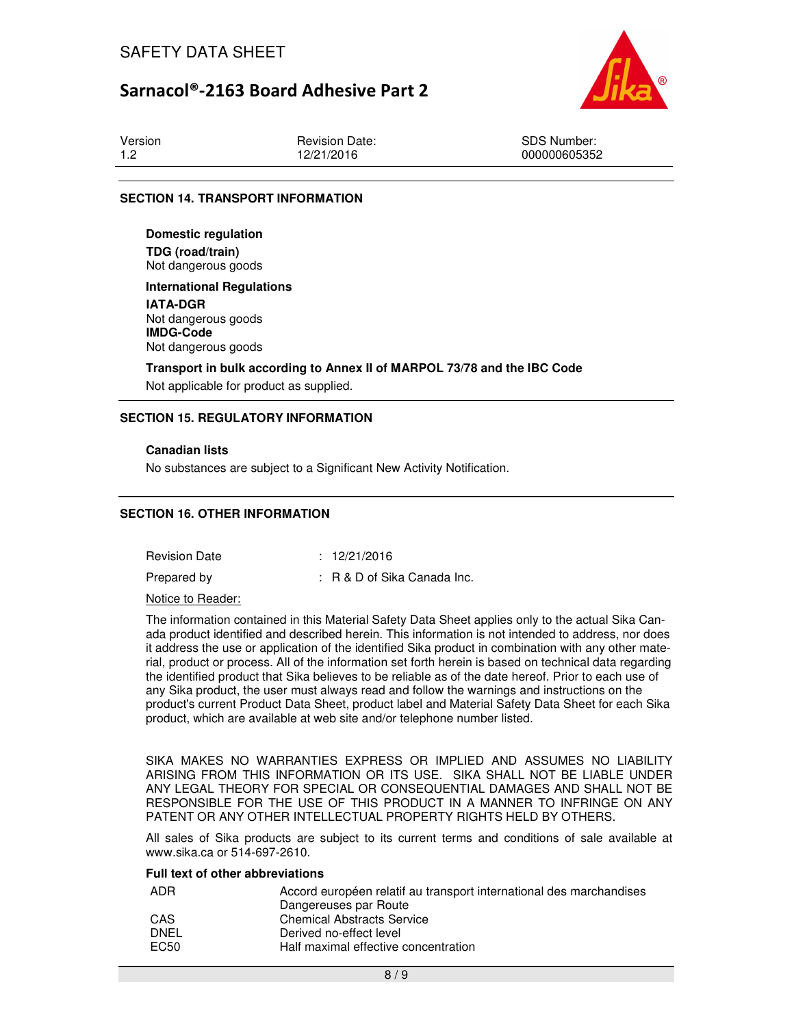

| Version | <b>Revision Date:</b> | SDS Number:  |
|---------|-----------------------|--------------|
| -1.2    | 12/21/2016            | 000000605352 |

### **SECTION 14. TRANSPORT INFORMATION**

**Domestic regulation TDG (road/train)** Not dangerous goods

**International Regulations IATA-DGR** Not dangerous goods **IMDG-Code** Not dangerous goods

**Transport in bulk according to Annex II of MARPOL 73/78 and the IBC Code**  Not applicable for product as supplied.

### **SECTION 15. REGULATORY INFORMATION**

### **Canadian lists**

No substances are subject to a Significant New Activity Notification.

### **SECTION 16. OTHER INFORMATION**

Revision Date : 12/21/2016 Prepared by : R & D of Sika Canada Inc.

Notice to Reader:

The information contained in this Material Safety Data Sheet applies only to the actual Sika Canada product identified and described herein. This information is not intended to address, nor does it address the use or application of the identified Sika product in combination with any other material, product or process. All of the information set forth herein is based on technical data regarding the identified product that Sika believes to be reliable as of the date hereof. Prior to each use of any Sika product, the user must always read and follow the warnings and instructions on the product's current Product Data Sheet, product label and Material Safety Data Sheet for each Sika product, which are available at web site and/or telephone number listed.

SIKA MAKES NO WARRANTIES EXPRESS OR IMPLIED AND ASSUMES NO LIABILITY ARISING FROM THIS INFORMATION OR ITS USE. SIKA SHALL NOT BE LIABLE UNDER ANY LEGAL THEORY FOR SPECIAL OR CONSEQUENTIAL DAMAGES AND SHALL NOT BE RESPONSIBLE FOR THE USE OF THIS PRODUCT IN A MANNER TO INFRINGE ON ANY PATENT OR ANY OTHER INTELLECTUAL PROPERTY RIGHTS HELD BY OTHERS.

All sales of Sika products are subject to its current terms and conditions of sale available at www.sika.ca or 514-697-2610.

### **Full text of other abbreviations**

| ADR  | Accord européen relatif au transport international des marchandises |
|------|---------------------------------------------------------------------|
|      | Dangereuses par Route                                               |
| CAS  | <b>Chemical Abstracts Service</b>                                   |
| DNEL | Derived no-effect level                                             |
| EC50 | Half maximal effective concentration                                |